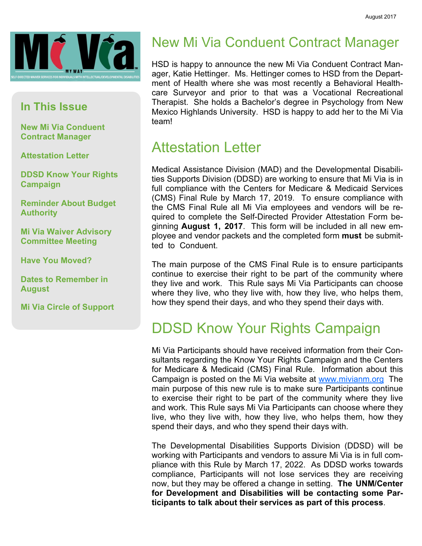

#### In This Issue

New Mi Via Conduent Contract Manager

Attestation Letter

DDSD Know Your Rights Campaign

Reminder About Budget **Authority** 

Mi Via Waiver Advisory Committee Meeting

Have You Moved?

Dates to Remember in **August** 

Mi Via Circle of Support

## New Mi Via Conduent Contract Manager

HSD is happy to announce the new Mi Via Conduent Contract Manager, Katie Hettinger. Ms. Hettinger comes to HSD from the Department of Health where she was most recently a Behavioral Healthcare Surveyor and prior to that was a Vocational Recreational Therapist. She holds a Bachelor's degree in Psychology from New Mexico Highlands University. HSD is happy to add her to the Mi Via team!

#### Attestation Letter

Medical Assistance Division (MAD) and the Developmental Disabilities Supports Division (DDSD) are working to ensure that Mi Via is in full compliance with the Centers for Medicare & Medicaid Services (CMS) Final Rule by March 17, 2019. To ensure compliance with the CMS Final Rule all Mi Via employees and vendors will be required to complete the Self-Directed Provider Attestation Form beginning August 1, 2017. This form will be included in all new employee and vendor packets and the completed form must be submitted to Conduent.

The main purpose of the CMS Final Rule is to ensure participants continue to exercise their right to be part of the community where they live and work. This Rule says Mi Via Participants can choose where they live, who they live with, how they live, who helps them, how they spend their days, and who they spend their days with.

#### DDSD Know Your Rights Campaign

Mi Via Participants should have received information from their Consultants regarding the Know Your Rights Campaign and the Centers for Medicare & Medicaid (CMS) Final Rule. Information about this Campaign is posted on the Mi Via website at www.mivianm.org The main purpose of this new rule is to make sure Participants continue to exercise their right to be part of the community where they live and work. This Rule says Mi Via Participants can choose where they live, who they live with, how they live, who helps them, how they spend their days, and who they spend their days with.

The Developmental Disabilities Supports Division (DDSD) will be working with Participants and vendors to assure Mi Via is in full compliance with this Rule by March 17, 2022. As DDSD works towards compliance, Participants will not lose services they are receiving now, but they may be offered a change in setting. The UNM/Center for Development and Disabilities will be contacting some Participants to talk about their services as part of this process.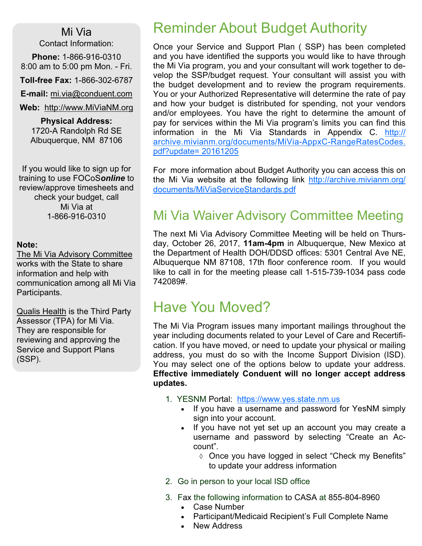#### Mi Via

Contact Information:

Phone: 1-866-916-0310 8:00 am to 5:00 pm Mon. - Fri.

Toll-free Fax: 1-866-302-6787

E-mail: mi.via@conduent.com

#### Web: http://www.MiViaNM.org

Physical Address: 1720-A Randolph Rd SE Albuquerque, NM 87106

If you would like to sign up for training to use FOCoSonline to review/approve timesheets and check your budget, call Mi Via at 1-866-916-0310

#### Note:

The Mi Via Advisory Committee works with the State to share information and help with communication among all Mi Via Participants.

Qualis Health is the Third Party Assessor (TPA) for Mi Via. They are responsible for reviewing and approving the Service and Support Plans (SSP).

## Reminder About Budget Authority

Once your Service and Support Plan ( SSP) has been completed and you have identified the supports you would like to have through the Mi Via program, you and your consultant will work together to develop the SSP/budget request. Your consultant will assist you with the budget development and to review the program requirements. You or your Authorized Representative will determine the rate of pay and how your budget is distributed for spending, not your vendors and/or employees. You have the right to determine the amount of pay for services within the Mi Via program's limits you can find this information in the Mi Via Standards in Appendix C. http:// archive.mivianm.org/documents/MiVia-AppxC-RangeRatesCodes. pdf?update= 20161205

For more information about Budget Authority you can access this on the Mi Via website at the following link http://archive.mivianm.org/ documents/MiViaServiceStandards.pdf

#### Mi Via Waiver Advisory Committee Meeting

The next Mi Via Advisory Committee Meeting will be held on Thursday, October 26, 2017, 11am-4pm in Albuquerque, New Mexico at the Department of Health DOH/DDSD offices: 5301 Central Ave NE, Albuquerque NM 87108, 17th floor conference room. If you would like to call in for the meeting please call 1-515-739-1034 pass code 742089#.

#### Have You Moved?

The Mi Via Program issues many important mailings throughout the year including documents related to your Level of Care and Recertification. If you have moved, or need to update your physical or mailing address, you must do so with the Income Support Division (ISD). You may select one of the options below to update your address. Effective immediately Conduent will no longer accept address updates.

- 1. YESNM Portal: https://www.yes.state.nm.us
	- If you have a username and password for YesNM simply sign into your account.
	- If you have not yet set up an account you may create a username and password by selecting "Create an Account".
		- ◊ Once you have logged in select "Check my Benefits" to update your address information
- 2. Go in person to your local ISD office
- 3. Fax the following information to CASA at 855-804-8960
	- Case Number
	- Participant/Medicaid Recipient's Full Complete Name
	- **New Address**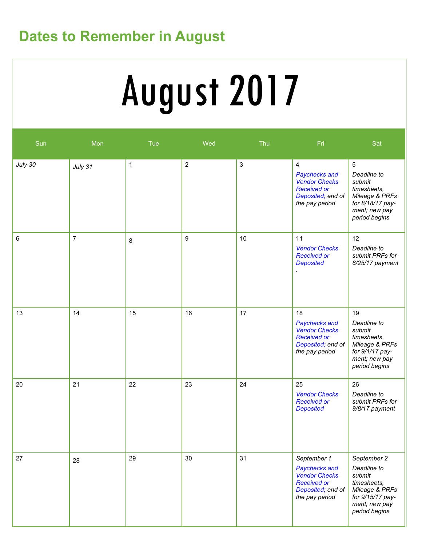## Dates to Remember in August

# August 2017

| Sun     | Mon            | Tue          | Wed            | Thu          | Fri                                                                                                                  | Sat                                                                                                                         |
|---------|----------------|--------------|----------------|--------------|----------------------------------------------------------------------------------------------------------------------|-----------------------------------------------------------------------------------------------------------------------------|
| July 30 | July 31        | $\mathbf{1}$ | $\overline{2}$ | $\mathbf{3}$ | $\overline{4}$<br>Paychecks and<br><b>Vendor Checks</b><br><b>Received or</b><br>Deposited; end of<br>the pay period | 5<br>Deadline to<br>submit<br>timesheets,<br>Mileage & PRFs<br>for 8/18/17 pay-<br>ment; new pay<br>period begins           |
| 6       | $\overline{7}$ | 8            | 9              | 10           | 11<br><b>Vendor Checks</b><br><b>Received or</b><br><b>Deposited</b>                                                 | 12<br>Deadline to<br>submit PRFs for<br>8/25/17 payment                                                                     |
| 13      | 14             | 15           | 16             | 17           | 18<br>Paychecks and<br><b>Vendor Checks</b><br><b>Received or</b><br>Deposited; end of<br>the pay period             | 19<br>Deadline to<br>submit<br>timesheets,<br>Mileage & PRFs<br>for 9/1/17 pay-<br>ment; new pay<br>period begins           |
| 20      | 21             | 22           | 23             | 24           | 25<br><b>Vendor Checks</b><br><b>Received or</b><br><b>Deposited</b>                                                 | 26<br>Deadline to<br>submit PRFs for<br>9/8/17 payment                                                                      |
| 27      | 28             | 29           | 30             | 31           | September 1<br>Paychecks and<br><b>Vendor Checks</b><br><b>Received or</b><br>Deposited; end of<br>the pay period    | September 2<br>Deadline to<br>submit<br>timesheets,<br>Mileage & PRFs<br>for 9/15/17 pay-<br>ment; new pay<br>period begins |